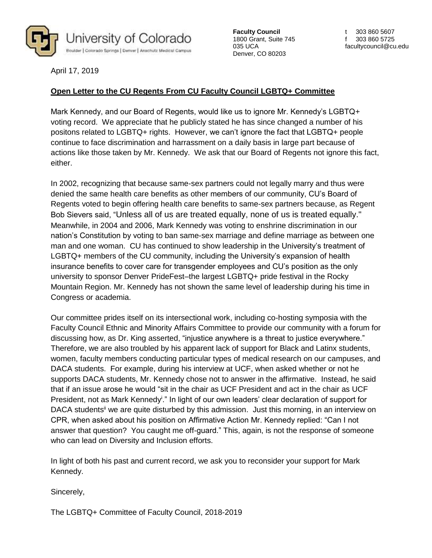

**Faculty Council** 1800 Grant, Suite 745 035 UCA Denver, CO 80203

t 303 860 5607 f 303 860 5725 facultycouncil@cu.edu

April 17, 2019

## **Open Letter to the CU Regents From CU Faculty Council LGBTQ+ Committee**

Mark Kennedy, and our Board of Regents, would like us to ignore Mr. Kennedy's LGBTQ+ voting record. We appreciate that he publicly stated he has since changed a number of his positons related to LGBTQ+ rights. However, we can't ignore the fact that LGBTQ+ people continue to face discrimination and harrassment on a daily basis in large part because of actions like those taken by Mr. Kennedy. We ask that our Board of Regents not ignore this fact, either.

In 2002, recognizing that because same-sex partners could not legally marry and thus were denied the same health care benefits as other members of our community, CU's Board of Regents voted to begin offering health care benefits to same-sex partners because, as Regent Bob Sievers said, "Unless all of us are treated equally, none of us is treated equally." Meanwhile, in 2004 and 2006, Mark Kennedy was voting to enshrine discrimination in our nation's Constitution by voting to ban same-sex marriage and define marriage as between one man and one woman. CU has continued to show leadership in the University's treatment of LGBTQ+ members of the CU community, including the University's expansion of health insurance benefits to cover care for transgender employees and CU's position as the only university to sponsor Denver PrideFest–the largest LGBTQ+ pride festival in the Rocky Mountain Region. Mr. Kennedy has not shown the same level of leadership during his time in Congress or academia.

Our committee prides itself on its intersectional work, including co-hosting symposia with the Faculty Council Ethnic and Minority Affairs Committee to provide our community with a forum for discussing how, as Dr. King asserted, "injustice anywhere is a threat to justice everywhere." Therefore, we are also troubled by his apparent lack of support for Black and Latinx students, women, faculty members conducting particular types of medical research on our campuses, and DACA students. For example, during his interview at UCF, when asked whether or not he supports DACA students, Mr. Kennedy chose not to answer in the affirmative. Instead, he said that if an issue arose he would "sit in the chair as UCF President and act in the chair as UCF President, not as Mark Kennedy<sup>i</sup>." In light of our own leaders' clear declaration of support for DACA students<sup>ii</sup> we are quite disturbed by this admission. Just this morning, in an interview on CPR, when asked about his position on Affirmative Action Mr. Kennedy replied: "Can I not answer that question? You caught me off-guard." This, again, is not the response of someone who can lead on Diversity and Inclusion efforts.

In light of both his past and current record, we ask you to reconsider your support for Mark Kennedy.

Sincerely,

The LGBTQ+ Committee of Faculty Council, 2018-2019